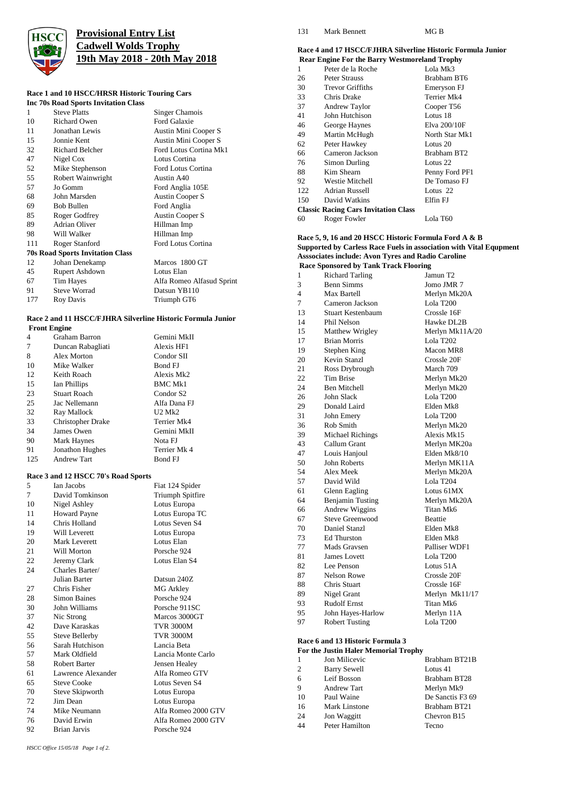

# **Provisional Entry List Cadwell Wolds Trophy 19th May 2018 - 20th May 2018**

#### **Race 1 and 10 HSCC/HRSR Historic Touring Cars Inc 70s Road Sports Invitation Class**

|     | THE 708 KOAU SPOT IS HIVILATION CRASS   |                           |
|-----|-----------------------------------------|---------------------------|
| 1   | <b>Steve Platts</b>                     | Singer Chamois            |
| 10  | <b>Richard Owen</b>                     | Ford Galaxie              |
| 11  | Jonathan Lewis                          | Austin Mini Cooper S      |
| 15  | Jonnie Kent                             | Austin Mini Cooper S      |
| 32  | <b>Richard Belcher</b>                  | Ford Lotus Cortina Mk1    |
| 47  | Nigel Cox                               | Lotus Cortina             |
| 52  | Mike Stephenson                         | Ford Lotus Cortina        |
| 55  | Robert Wainwright                       | Austin A40                |
| 57  | Jo Gomm                                 | Ford Anglia 105E          |
| 68  | John Marsden                            | Austin Cooper S           |
| 69  | <b>Bob Bullen</b>                       | Ford Anglia               |
| 85  | Roger Godfrey                           | Austin Cooper S           |
| 89  | <b>Adrian Oliver</b>                    | Hillman Imp               |
| 98  | Will Walker                             | Hillman Imp               |
| 111 | Roger Stanford                          | Ford Lotus Cortina        |
|     | <b>70s Road Sports Invitation Class</b> |                           |
| 12  | Johan Denekamp                          | Marcos 1800 GT            |
| 45  | Rupert Ashdown                          | Lotus Elan                |
| 67  | <b>Tim Hayes</b>                        | Alfa Romeo Alfasud Sprint |
| 91  | <b>Steve Worrad</b>                     | Datsun YB110              |
| 177 | Roy Davis                               | Triumph GT6               |
|     |                                         |                           |

#### **Race 2 and 11 HSCC/FJHRA Silverline Historic Formula Junior Front Engine**

|     | 1 rom Linguit            |                       |
|-----|--------------------------|-----------------------|
| 4   | Graham Barron            | Gemini MkII           |
| 7   | Duncan Rabagliati        | Alexis HF1            |
| 8   | Alex Morton              | Condor SII            |
| 10  | Mike Walker              | Bond FJ               |
| 12  | Keith Roach              | Alexis Mk2            |
| 15  | Ian Phillips             | <b>BMC Mk1</b>        |
| 23  | <b>Stuart Roach</b>      | Condor S <sub>2</sub> |
| 25  | Jac Nellemann            | Alfa Dana FJ          |
| 32  | Ray Mallock              | $U2$ Mk2              |
| 33  | <b>Christopher Drake</b> | Terrier Mk4           |
| 34  | James Owen               | Gemini MkII           |
| 90  | <b>Mark Haynes</b>       | Nota FJ               |
| 91  | Jonathon Hughes          | Terrier Mk 4          |
| 125 | <b>Andrew Tart</b>       | <b>Bond FJ</b>        |

### **Race 3 and 12 HSCC 70's Road Sports**

|    | $\frac{1}{2}$ and $\frac{1}{2}$ HDCC 70 s Road Sports |                     |
|----|-------------------------------------------------------|---------------------|
| 5  | Ian Jacobs                                            | Fiat 124 Spider     |
| 7  | David Tomkinson                                       | Triumph Spitfire    |
| 10 | Nigel Ashley                                          | Lotus Europa        |
| 11 | <b>Howard Payne</b>                                   | Lotus Europa TC     |
| 14 | Chris Holland                                         | Lotus Seven S4      |
| 19 | Will Leverett                                         | Lotus Europa        |
| 20 | Mark Leverett                                         | Lotus Elan          |
| 21 | Will Morton                                           | Porsche 924         |
| 22 | Jeremy Clark                                          | Lotus Elan S4       |
| 24 | Charles Barter/                                       |                     |
|    | Julian Barter                                         | Datsun 240Z         |
| 27 | Chris Fisher                                          | <b>MG Arkley</b>    |
| 28 | <b>Simon Baines</b>                                   | Porsche 924         |
| 30 | John Williams                                         | Porsche 911SC       |
| 37 | Nic Strong                                            | Marcos 3000GT       |
| 42 | Dave Karaskas                                         | <b>TVR 3000M</b>    |
| 55 | <b>Steve Bellerby</b>                                 | <b>TVR 3000M</b>    |
| 56 | Sarah Hutchison                                       | Lancia Beta         |
| 57 | Mark Oldfield                                         | Lancia Monte Carlo  |
| 58 | Robert Barter                                         | Jensen Healey       |
| 61 | Lawrence Alexander                                    | Alfa Romeo GTV      |
| 65 | <b>Steve Cooke</b>                                    | Lotus Seven S4      |
| 70 | Steve Skipworth                                       | Lotus Europa        |
| 72 | Jim Dean                                              | Lotus Europa        |
| 74 | Mike Neumann                                          | Alfa Romeo 2000 GTV |
| 76 | David Erwin                                           | Alfa Romeo 2000 GTV |
| 92 | Brian Jarvis                                          | Porsche 924         |

#### 131 Mark Bennett MG B

#### **Race 4 and 17 HSCC/FJHRA Silverline Historic Formula Junior Rear Engine For the Barry Westmoreland Trophy**

|     | Ka Engine For the Darry Westmoreland Trophy |                |
|-----|---------------------------------------------|----------------|
| 1   | Peter de la Roche                           | Lola Mk3       |
| 26  | Peter Strauss                               | Brabham BT6    |
| 30  | <b>Trevor Griffiths</b>                     | Emeryson FJ    |
| 33  | Chris Drake                                 | Terrier Mk4    |
| 37  | Andrew Taylor                               | Cooper T56     |
| 41  | John Hutchison                              | Lotus 18       |
| 46  | George Haynes                               | Elva 200/10F   |
| 49  | Martin McHugh                               | North Star Mk1 |
| 62  | Peter Hawkey                                | Lotus 20       |
| 66  | Cameron Jackson                             | Brabham BT2    |
| 76  | Simon Durling                               | Lotus 22       |
| 88  | Kim Shearn                                  | Penny Ford PF1 |
| 92  | <b>Westie Mitchell</b>                      | De Tomaso FJ   |
| 122 | <b>Adrian Russell</b>                       | Lotus 22       |
| 150 | David Watkins                               | Elfin FJ       |
|     | <b>Classic Racing Cars Invitation Class</b> |                |
| 60  | Roger Fowler                                | Lola T60       |
|     |                                             |                |

### **Race 5, 9, 16 and 20 HSCC Historic Formula Ford A & B Supported by Carless Race Fuels in association with Vital Equpment Asssociates include: Avon Tyres and Radio Caroline Race Sponsored by Tank Track Flooring**

| 1  | <b>Richard Tarling</b>   | Jamun T2              |
|----|--------------------------|-----------------------|
| 3  | <b>Benn Simms</b>        | Jomo JMR 7            |
| 4  | Max Bartell              | Merlyn Mk20A          |
| 7  | Cameron Jackson          | Lola T200             |
| 13 | <b>Stuart Kestenbaum</b> | Crossle 16F           |
| 14 | Phil Nelson              | Hawke DL2B            |
| 15 | Matthew Wrigley          | Merlyn Mk11A/20       |
| 17 | <b>Brian Morris</b>      | Lola T202             |
| 19 | Stephen King             | Macon MR8             |
| 20 | <b>Kevin Stanzl</b>      | Crossle 20F           |
| 21 | Ross Drybrough           | March 709             |
| 22 | <b>Tim Brise</b>         | Merlyn Mk20           |
| 24 | <b>Ben Mitchell</b>      | Merlyn Mk20           |
| 26 | John Slack               | Lola T200             |
| 29 | Donald Laird             | Elden Mk8             |
| 31 | John Emery               | Lola T <sub>200</sub> |
| 36 | Rob Smith                | Merlyn Mk20           |
| 39 | <b>Michael Richings</b>  | Alexis Mk15           |
| 43 | Callum Grant             | Merlyn MK20a          |
| 47 | Louis Hanjoul            | Elden Mk8/10          |
| 50 | John Roberts             | Merlyn MK11A          |
| 54 | Alex Meek                | Merlyn Mk20A          |
| 57 | David Wild               | Lola T204             |
| 61 | Glenn Eagling            | Lotus 61MX            |
| 64 | <b>Benjamin Tusting</b>  | Merlyn Mk20A          |
| 66 | Andrew Wiggins           | Titan Mk6             |
| 67 | <b>Steve Greenwood</b>   | <b>Beattie</b>        |
| 70 | Daniel Stanzl            | Elden Mk8             |
| 73 | Ed Thurston              | Elden Mk8             |
| 77 | Mads Gravsen             | Palliser WDF1         |
| 81 | <b>James</b> Lovett      | Lola T200             |
| 82 | Lee Penson               | Lotus 51A             |
| 87 | Nelson Rowe              | Crossle 20F           |
| 88 | Chris Stuart             | Crossle 16F           |
| 89 | Nigel Grant              | Merlyn Mk11/17        |
| 93 | <b>Rudolf Ernst</b>      | Titan Mk6             |
| 95 | John Hayes-Harlow        | Merlyn 11A            |
| 97 | <b>Robert Tusting</b>    | Lola T200             |
|    |                          |                       |
|    |                          |                       |

#### **Race 6 and 13 Historic Formula 3 For the Justin Haler Memorial Trophy**

|    | гог шеомлигимист этешогин тгорит |                  |
|----|----------------------------------|------------------|
| 1  | Jon Milicevic                    | Brabham BT21B    |
| 2  | <b>Barry Sewell</b>              | Lotus 41         |
| 6  | Leif Bosson                      | Brabham BT28     |
| 9  | <b>Andrew Tart</b>               | Merlyn Mk9       |
| 10 | Paul Waine                       | De Sanctis F3 69 |
| 16 | <b>Mark Linstone</b>             | Brabham BT21     |
| 24 | Jon Waggitt                      | Chevron B15      |
| 44 | Peter Hamilton                   | Tecno            |
|    |                                  |                  |